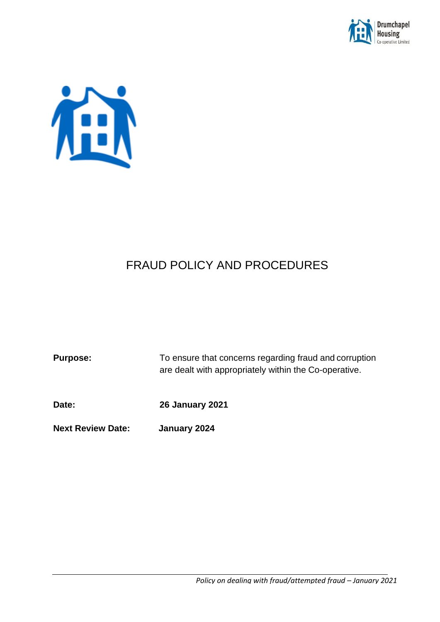



# FRAUD POLICY AND PROCEDURES

**Purpose:** To ensure that concerns regarding fraud and corruption are dealt with appropriately within the Co-operative.

**Date: 26 January 2021**

**Next Review Date: January 2024**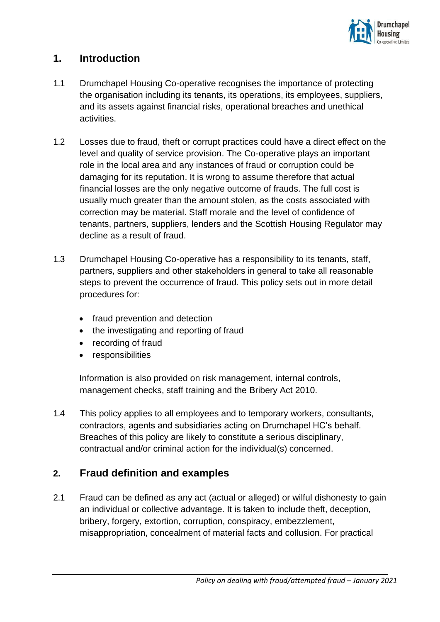

# **1. Introduction**

- 1.1 Drumchapel Housing Co-operative recognises the importance of protecting the organisation including its tenants, its operations, its employees, suppliers, and its assets against financial risks, operational breaches and unethical activities.
- 1.2 Losses due to fraud, theft or corrupt practices could have a direct effect on the level and quality of service provision. The Co-operative plays an important role in the local area and any instances of fraud or corruption could be damaging for its reputation. It is wrong to assume therefore that actual financial losses are the only negative outcome of frauds. The full cost is usually much greater than the amount stolen, as the costs associated with correction may be material. Staff morale and the level of confidence of tenants, partners, suppliers, lenders and the Scottish Housing Regulator may decline as a result of fraud.
- 1.3 Drumchapel Housing Co-operative has a responsibility to its tenants, staff, partners, suppliers and other stakeholders in general to take all reasonable steps to prevent the occurrence of fraud. This policy sets out in more detail procedures for:
	- fraud prevention and detection
	- the investigating and reporting of fraud
	- recording of fraud
	- responsibilities

Information is also provided on risk management, internal controls, management checks, staff training and the Bribery Act 2010.

1.4 This policy applies to all employees and to temporary workers, consultants, contractors, agents and subsidiaries acting on Drumchapel HC's behalf. Breaches of this policy are likely to constitute a serious disciplinary, contractual and/or criminal action for the individual(s) concerned.

# **2. Fraud definition and examples**

2.1 Fraud can be defined as any act (actual or alleged) or wilful dishonesty to gain an individual or collective advantage. It is taken to include theft, deception, bribery, forgery, extortion, corruption, conspiracy, embezzlement, misappropriation, concealment of material facts and collusion. For practical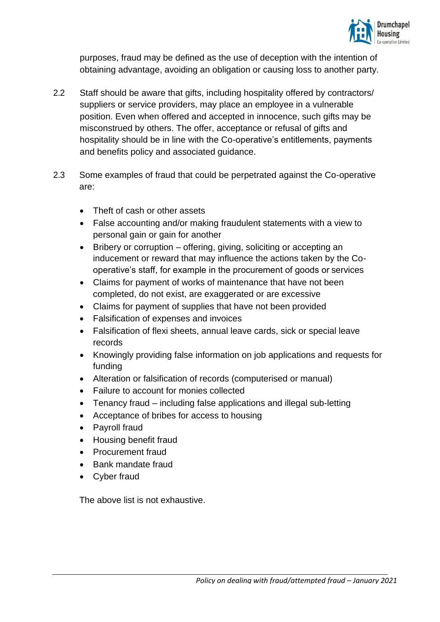

purposes, fraud may be defined as the use of deception with the intention of obtaining advantage, avoiding an obligation or causing loss to another party.

- 2.2 Staff should be aware that gifts, including hospitality offered by contractors/ suppliers or service providers, may place an employee in a vulnerable position. Even when offered and accepted in innocence, such gifts may be misconstrued by others. The offer, acceptance or refusal of gifts and hospitality should be in line with the Co-operative's entitlements, payments and benefits policy and associated guidance.
- 2.3 Some examples of fraud that could be perpetrated against the Co-operative are:
	- Theft of cash or other assets
	- False accounting and/or making fraudulent statements with a view to personal gain or gain for another
	- Bribery or corruption offering, giving, soliciting or accepting an inducement or reward that may influence the actions taken by the Cooperative's staff, for example in the procurement of goods or services
	- Claims for payment of works of maintenance that have not been completed, do not exist, are exaggerated or are excessive
	- Claims for payment of supplies that have not been provided
	- Falsification of expenses and invoices
	- Falsification of flexi sheets, annual leave cards, sick or special leave records
	- Knowingly providing false information on job applications and requests for funding
	- Alteration or falsification of records (computerised or manual)
	- Failure to account for monies collected
	- Tenancy fraud including false applications and illegal sub-letting
	- Acceptance of bribes for access to housing
	- Payroll fraud
	- Housing benefit fraud
	- Procurement fraud
	- Bank mandate fraud
	- Cyber fraud

The above list is not exhaustive.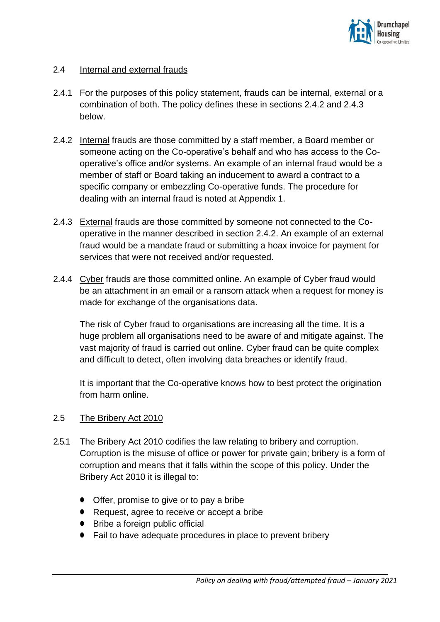

#### 2.4 Internal and external frauds

- 2.4.1 For the purposes of this policy statement, frauds can be internal, external or a combination of both. The policy defines these in sections 2.4.2 and 2.4.3 below.
- 2.4.2 Internal frauds are those committed by a staff member, a Board member or someone acting on the Co-operative's behalf and who has access to the Cooperative's office and/or systems. An example of an internal fraud would be a member of staff or Board taking an inducement to award a contract to a specific company or embezzling Co-operative funds. The procedure for dealing with an internal fraud is noted at Appendix 1.
- 2.4.3 External frauds are those committed by someone not connected to the Cooperative in the manner described in section 2.4.2. An example of an external fraud would be a mandate fraud or submitting a hoax invoice for payment for services that were not received and/or requested.
- 2.4.4 Cyber frauds are those committed online. An example of Cyber fraud would be an attachment in an email or a ransom attack when a request for money is made for exchange of the organisations data.

The risk of Cyber fraud to organisations are increasing all the time. It is a huge problem all organisations need to be aware of and mitigate against. The vast majority of fraud is carried out online. Cyber fraud can be quite complex and difficult to detect, often involving data breaches or identify fraud.

It is important that the Co-operative knows how to best protect the origination from harm online.

#### 2.5 The Bribery Act 2010

- 2.5.1 The Bribery Act 2010 codifies the law relating to bribery and corruption. Corruption is the misuse of office or power for private gain; bribery is a form of corruption and means that it falls within the scope of this policy. Under the Bribery Act 2010 it is illegal to:
	- Offer, promise to give or to pay a bribe
	- Request, agree to receive or accept a bribe
	- Bribe a foreign public official
	- Fail to have adequate procedures in place to prevent bribery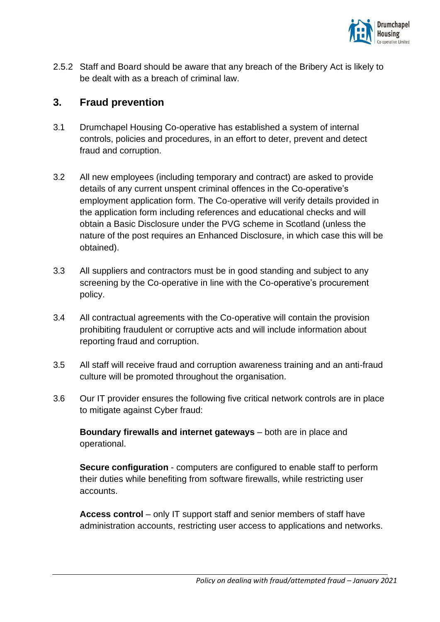

2.5.2 Staff and Board should be aware that any breach of the Bribery Act is likely to be dealt with as a breach of criminal law.

## **3. Fraud prevention**

- 3.1 Drumchapel Housing Co-operative has established a system of internal controls, policies and procedures, in an effort to deter, prevent and detect fraud and corruption.
- 3.2 All new employees (including temporary and contract) are asked to provide details of any current unspent criminal offences in the Co-operative's employment application form. The Co-operative will verify details provided in the application form including references and educational checks and will obtain a Basic Disclosure under the PVG scheme in Scotland (unless the nature of the post requires an Enhanced Disclosure, in which case this will be obtained).
- 3.3 All suppliers and contractors must be in good standing and subject to any screening by the Co-operative in line with the Co-operative's procurement policy.
- 3.4 All contractual agreements with the Co-operative will contain the provision prohibiting fraudulent or corruptive acts and will include information about reporting fraud and corruption.
- 3.5 All staff will receive fraud and corruption awareness training and an anti-fraud culture will be promoted throughout the organisation.
- 3.6 Our IT provider ensures the following five critical network controls are in place to mitigate against Cyber fraud:

**Boundary firewalls and internet gateways** – both are in place and operational.

**Secure configuration** - computers are configured to enable staff to perform their duties while benefiting from software firewalls, while restricting user accounts.

**Access control** – only IT support staff and senior members of staff have administration accounts, restricting user access to applications and networks.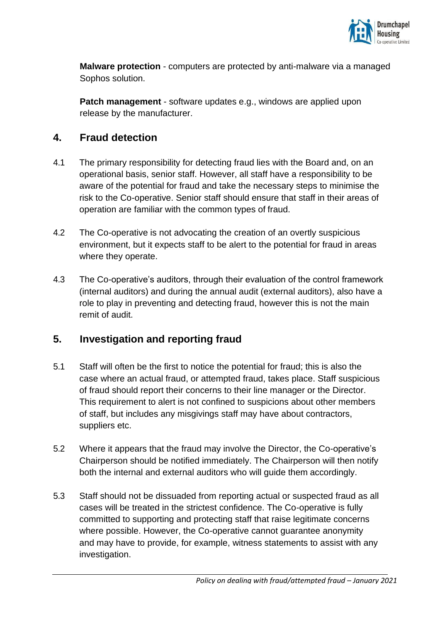

**Malware protection** - computers are protected by anti-malware via a managed Sophos solution.

**Patch management** - software updates e.g., windows are applied upon release by the manufacturer.

## **4. Fraud detection**

- 4.1 The primary responsibility for detecting fraud lies with the Board and, on an operational basis, senior staff. However, all staff have a responsibility to be aware of the potential for fraud and take the necessary steps to minimise the risk to the Co-operative. Senior staff should ensure that staff in their areas of operation are familiar with the common types of fraud.
- 4.2 The Co-operative is not advocating the creation of an overtly suspicious environment, but it expects staff to be alert to the potential for fraud in areas where they operate.
- 4.3 The Co-operative's auditors, through their evaluation of the control framework (internal auditors) and during the annual audit (external auditors), also have a role to play in preventing and detecting fraud, however this is not the main remit of audit.

## **5. Investigation and reporting fraud**

- 5.1 Staff will often be the first to notice the potential for fraud; this is also the case where an actual fraud, or attempted fraud, takes place. Staff suspicious of fraud should report their concerns to their line manager or the Director. This requirement to alert is not confined to suspicions about other members of staff, but includes any misgivings staff may have about contractors, suppliers etc.
- 5.2 Where it appears that the fraud may involve the Director, the Co-operative's Chairperson should be notified immediately. The Chairperson will then notify both the internal and external auditors who will guide them accordingly.
- 5.3 Staff should not be dissuaded from reporting actual or suspected fraud as all cases will be treated in the strictest confidence. The Co-operative is fully committed to supporting and protecting staff that raise legitimate concerns where possible. However, the Co-operative cannot guarantee anonymity and may have to provide, for example, witness statements to assist with any investigation.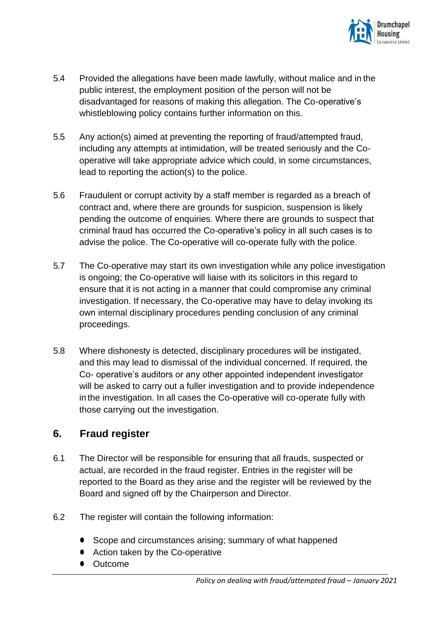

- 5.4 Provided the allegations have been made lawfully, without malice and in the public interest, the employment position of the person will not be disadvantaged for reasons of making this allegation. The Co-operative's whistleblowing policy contains further information on this.
- 5.5 Any action(s) aimed at preventing the reporting of fraud/attempted fraud, including any attempts at intimidation, will be treated seriously and the Cooperative will take appropriate advice which could, in some circumstances, lead to reporting the action(s) to the police.
- 5.6 Fraudulent or corrupt activity by a staff member is regarded as a breach of contract and, where there are grounds for suspicion, suspension is likely pending the outcome of enquiries. Where there are grounds to suspect that criminal fraud has occurred the Co-operative's policy in all such cases is to advise the police. The Co-operative will co-operate fully with the police.
- 5.7 The Co-operative may start its own investigation while any police investigation is ongoing; the Co-operative will liaise with its solicitors in this regard to ensure that it is not acting in a manner that could compromise any criminal investigation. If necessary, the Co-operative may have to delay invoking its own internal disciplinary procedures pending conclusion of any criminal proceedings.
- 5.8 Where dishonesty is detected, disciplinary procedures will be instigated, and this may lead to dismissal of the individual concerned. If required, the Co- operative's auditors or any other appointed independent investigator will be asked to carry out a fuller investigation and to provide independence in the investigation. In all cases the Co-operative will co-operate fully with those carrying out the investigation.

## **6. Fraud register**

- 6.1 The Director will be responsible for ensuring that all frauds, suspected or actual, are recorded in the fraud register. Entries in the register will be reported to the Board as they arise and the register will be reviewed by the Board and signed off by the Chairperson and Director.
- 6.2 The register will contain the following information:
	- Scope and circumstances arising; summary of what happened
	- ⚫ Action taken by the Co-operative
	- ⚫ Outcome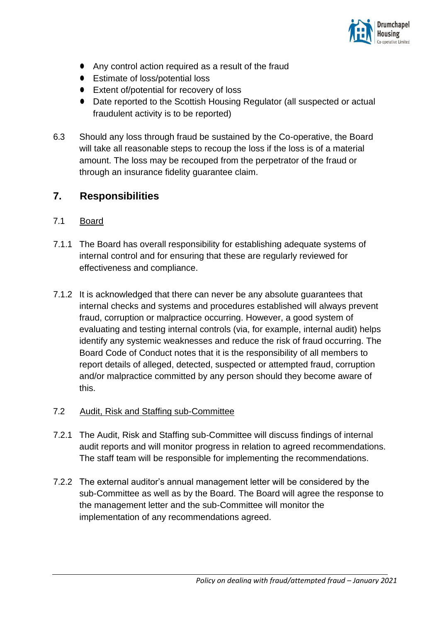

- Any control action required as a result of the fraud
- Estimate of loss/potential loss
- Extent of/potential for recovery of loss
- Date reported to the Scottish Housing Regulator (all suspected or actual fraudulent activity is to be reported)
- 6.3 Should any loss through fraud be sustained by the Co-operative, the Board will take all reasonable steps to recoup the loss if the loss is of a material amount. The loss may be recouped from the perpetrator of the fraud or through an insurance fidelity guarantee claim.

## **7. Responsibilities**

- 7.1 Board
- 7.1.1 The Board has overall responsibility for establishing adequate systems of internal control and for ensuring that these are regularly reviewed for effectiveness and compliance.
- 7.1.2 It is acknowledged that there can never be any absolute guarantees that internal checks and systems and procedures established will always prevent fraud, corruption or malpractice occurring. However, a good system of evaluating and testing internal controls (via, for example, internal audit) helps identify any systemic weaknesses and reduce the risk of fraud occurring. The Board Code of Conduct notes that it is the responsibility of all members to report details of alleged, detected, suspected or attempted fraud, corruption and/or malpractice committed by any person should they become aware of this.

#### 7.2 Audit, Risk and Staffing sub-Committee

- 7.2.1 The Audit, Risk and Staffing sub-Committee will discuss findings of internal audit reports and will monitor progress in relation to agreed recommendations. The staff team will be responsible for implementing the recommendations.
- 7.2.2 The external auditor's annual management letter will be considered by the sub-Committee as well as by the Board. The Board will agree the response to the management letter and the sub-Committee will monitor the implementation of any recommendations agreed.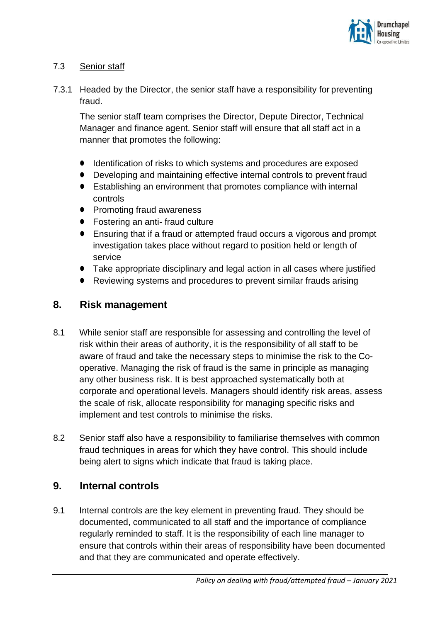

#### 7.3 Senior staff

7.3.1 Headed by the Director, the senior staff have a responsibility for preventing fraud.

The senior staff team comprises the Director, Depute Director, Technical Manager and finance agent. Senior staff will ensure that all staff act in a manner that promotes the following:

- Identification of risks to which systems and procedures are exposed
- Developing and maintaining effective internal controls to prevent fraud
- Establishing an environment that promotes compliance with internal controls
- ⚫ Promoting fraud awareness
- Fostering an anti- fraud culture
- Ensuring that if a fraud or attempted fraud occurs a vigorous and prompt investigation takes place without regard to position held or length of service
- ⚫ Take appropriate disciplinary and legal action in all cases where justified
- Reviewing systems and procedures to prevent similar frauds arising

#### **8. Risk management**

- 8.1 While senior staff are responsible for assessing and controlling the level of risk within their areas of authority, it is the responsibility of all staff to be aware of fraud and take the necessary steps to minimise the risk to the Cooperative. Managing the risk of fraud is the same in principle as managing any other business risk. It is best approached systematically both at corporate and operational levels. Managers should identify risk areas, assess the scale of risk, allocate responsibility for managing specific risks and implement and test controls to minimise the risks.
- 8.2 Senior staff also have a responsibility to familiarise themselves with common fraud techniques in areas for which they have control. This should include being alert to signs which indicate that fraud is taking place.

## **9. Internal controls**

9.1 Internal controls are the key element in preventing fraud. They should be documented, communicated to all staff and the importance of compliance regularly reminded to staff. It is the responsibility of each line manager to ensure that controls within their areas of responsibility have been documented and that they are communicated and operate effectively.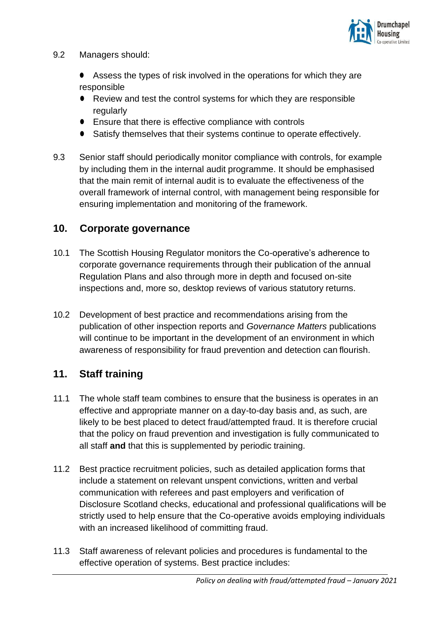

#### 9.2 Managers should:

- Assess the types of risk involved in the operations for which they are responsible
- Review and test the control systems for which they are responsible regularly
- Ensure that there is effective compliance with controls
- Satisfy themselves that their systems continue to operate effectively.
- 9.3 Senior staff should periodically monitor compliance with controls, for example by including them in the internal audit programme. It should be emphasised that the main remit of internal audit is to evaluate the effectiveness of the overall framework of internal control, with management being responsible for ensuring implementation and monitoring of the framework.

#### **10. Corporate governance**

- 10.1 The Scottish Housing Regulator monitors the Co-operative's adherence to corporate governance requirements through their publication of the annual Regulation Plans and also through more in depth and focused on-site inspections and, more so, desktop reviews of various statutory returns.
- 10.2 Development of best practice and recommendations arising from the publication of other inspection reports and *Governance Matters* publications will continue to be important in the development of an environment in which awareness of responsibility for fraud prevention and detection can flourish.

## **11. Staff training**

- 11.1 The whole staff team combines to ensure that the business is operates in an effective and appropriate manner on a day-to-day basis and, as such, are likely to be best placed to detect fraud/attempted fraud. It is therefore crucial that the policy on fraud prevention and investigation is fully communicated to all staff **and** that this is supplemented by periodic training.
- 11.2 Best practice recruitment policies, such as detailed application forms that include a statement on relevant unspent convictions, written and verbal communication with referees and past employers and verification of Disclosure Scotland checks, educational and professional qualifications will be strictly used to help ensure that the Co-operative avoids employing individuals with an increased likelihood of committing fraud.
- 11.3 Staff awareness of relevant policies and procedures is fundamental to the effective operation of systems. Best practice includes: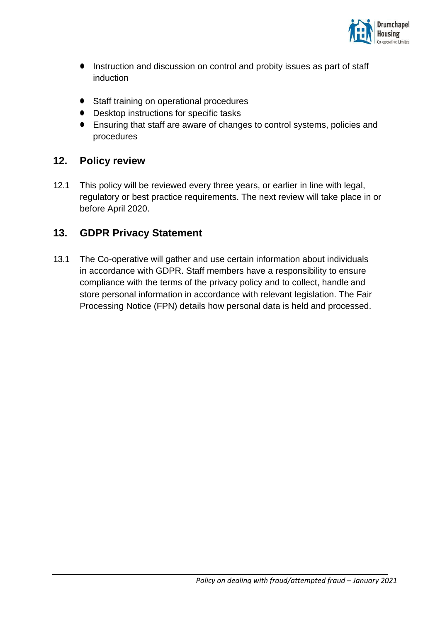

- Instruction and discussion on control and probity issues as part of staff induction
- Staff training on operational procedures
- Desktop instructions for specific tasks
- Ensuring that staff are aware of changes to control systems, policies and procedures

#### **12. Policy review**

12.1 This policy will be reviewed every three years, or earlier in line with legal, regulatory or best practice requirements. The next review will take place in or before April 2020.

#### **13. GDPR Privacy Statement**

13.1 The Co-operative will gather and use certain information about individuals in accordance with GDPR. Staff members have a responsibility to ensure compliance with the terms of the privacy policy and to collect, handle and store personal information in accordance with relevant legislation. The Fair Processing Notice (FPN) details how personal data is held and processed.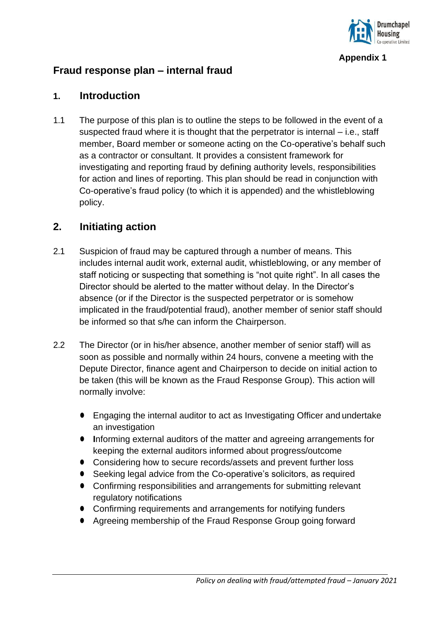

# **Fraud response plan – internal fraud**

#### **1. Introduction**

1.1 The purpose of this plan is to outline the steps to be followed in the event of a suspected fraud where it is thought that the perpetrator is internal – i.e., staff member, Board member or someone acting on the Co-operative's behalf such as a contractor or consultant. It provides a consistent framework for investigating and reporting fraud by defining authority levels, responsibilities for action and lines of reporting. This plan should be read in conjunction with Co-operative's fraud policy (to which it is appended) and the whistleblowing policy.

## **2. Initiating action**

- 2.1 Suspicion of fraud may be captured through a number of means. This includes internal audit work, external audit, whistleblowing, or any member of staff noticing or suspecting that something is "not quite right". In all cases the Director should be alerted to the matter without delay. In the Director's absence (or if the Director is the suspected perpetrator or is somehow implicated in the fraud/potential fraud), another member of senior staff should be informed so that s/he can inform the Chairperson.
- 2.2 The Director (or in his/her absence, another member of senior staff) will as soon as possible and normally within 24 hours, convene a meeting with the Depute Director, finance agent and Chairperson to decide on initial action to be taken (this will be known as the Fraud Response Group). This action will normally involve:
	- Engaging the internal auditor to act as Investigating Officer and undertake an investigation
	- ⚫ **I**nforming external auditors of the matter and agreeing arrangements for keeping the external auditors informed about progress/outcome
	- Considering how to secure records/assets and prevent further loss
	- Seeking legal advice from the Co-operative's solicitors, as required
	- Confirming responsibilities and arrangements for submitting relevant regulatory notifications
	- Confirming requirements and arrangements for notifying funders
	- Agreeing membership of the Fraud Response Group going forward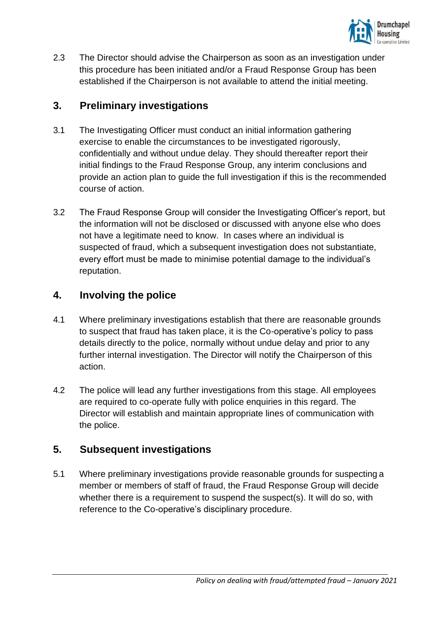

2.3 The Director should advise the Chairperson as soon as an investigation under this procedure has been initiated and/or a Fraud Response Group has been established if the Chairperson is not available to attend the initial meeting.

# **3. Preliminary investigations**

- 3.1 The Investigating Officer must conduct an initial information gathering exercise to enable the circumstances to be investigated rigorously, confidentially and without undue delay. They should thereafter report their initial findings to the Fraud Response Group, any interim conclusions and provide an action plan to guide the full investigation if this is the recommended course of action.
- 3.2 The Fraud Response Group will consider the Investigating Officer's report, but the information will not be disclosed or discussed with anyone else who does not have a legitimate need to know. In cases where an individual is suspected of fraud, which a subsequent investigation does not substantiate, every effort must be made to minimise potential damage to the individual's reputation.

# **4. Involving the police**

- 4.1 Where preliminary investigations establish that there are reasonable grounds to suspect that fraud has taken place, it is the Co-operative's policy to pass details directly to the police, normally without undue delay and prior to any further internal investigation. The Director will notify the Chairperson of this action.
- 4.2 The police will lead any further investigations from this stage. All employees are required to co-operate fully with police enquiries in this regard. The Director will establish and maintain appropriate lines of communication with the police.

## **5. Subsequent investigations**

5.1 Where preliminary investigations provide reasonable grounds for suspecting a member or members of staff of fraud, the Fraud Response Group will decide whether there is a requirement to suspend the suspect(s). It will do so, with reference to the Co-operative's disciplinary procedure.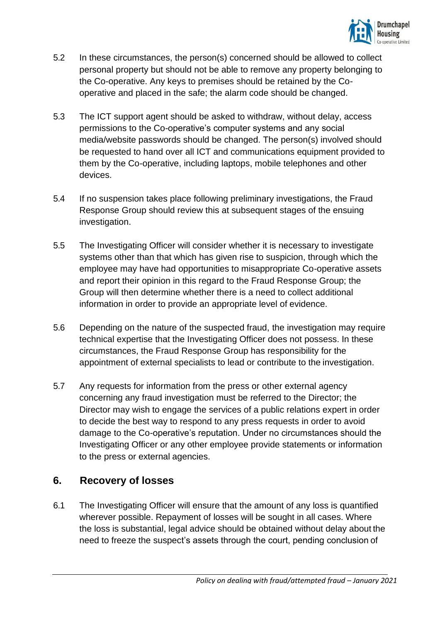

- 5.2 In these circumstances, the person(s) concerned should be allowed to collect personal property but should not be able to remove any property belonging to the Co-operative. Any keys to premises should be retained by the Cooperative and placed in the safe; the alarm code should be changed.
- 5.3 The ICT support agent should be asked to withdraw, without delay, access permissions to the Co-operative's computer systems and any social media/website passwords should be changed. The person(s) involved should be requested to hand over all ICT and communications equipment provided to them by the Co-operative, including laptops, mobile telephones and other devices.
- 5.4 If no suspension takes place following preliminary investigations, the Fraud Response Group should review this at subsequent stages of the ensuing investigation.
- 5.5 The Investigating Officer will consider whether it is necessary to investigate systems other than that which has given rise to suspicion, through which the employee may have had opportunities to misappropriate Co-operative assets and report their opinion in this regard to the Fraud Response Group; the Group will then determine whether there is a need to collect additional information in order to provide an appropriate level of evidence.
- 5.6 Depending on the nature of the suspected fraud, the investigation may require technical expertise that the Investigating Officer does not possess. In these circumstances, the Fraud Response Group has responsibility for the appointment of external specialists to lead or contribute to the investigation.
- 5.7 Any requests for information from the press or other external agency concerning any fraud investigation must be referred to the Director; the Director may wish to engage the services of a public relations expert in order to decide the best way to respond to any press requests in order to avoid damage to the Co-operative's reputation. Under no circumstances should the Investigating Officer or any other employee provide statements or information to the press or external agencies.

## **6. Recovery of losses**

6.1 The Investigating Officer will ensure that the amount of any loss is quantified wherever possible. Repayment of losses will be sought in all cases. Where the loss is substantial, legal advice should be obtained without delay about the need to freeze the suspect's assets through the court, pending conclusion of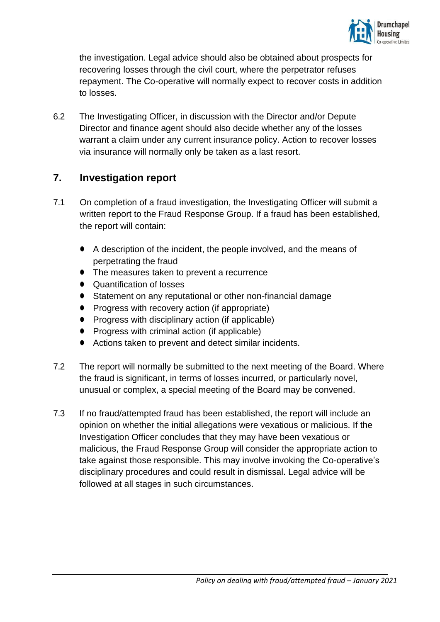

the investigation. Legal advice should also be obtained about prospects for recovering losses through the civil court, where the perpetrator refuses repayment. The Co-operative will normally expect to recover costs in addition to losses.

6.2 The Investigating Officer, in discussion with the Director and/or Depute Director and finance agent should also decide whether any of the losses warrant a claim under any current insurance policy. Action to recover losses via insurance will normally only be taken as a last resort.

# **7. Investigation report**

- 7.1 On completion of a fraud investigation, the Investigating Officer will submit a written report to the Fraud Response Group. If a fraud has been established, the report will contain:
	- A description of the incident, the people involved, and the means of perpetrating the fraud
	- The measures taken to prevent a recurrence
	- Quantification of losses
	- Statement on any reputational or other non-financial damage
	- Progress with recovery action (if appropriate)
	- Progress with disciplinary action (if applicable)
	- Progress with criminal action (if applicable)
	- Actions taken to prevent and detect similar incidents.
- 7.2 The report will normally be submitted to the next meeting of the Board. Where the fraud is significant, in terms of losses incurred, or particularly novel, unusual or complex, a special meeting of the Board may be convened.
- 7.3 If no fraud/attempted fraud has been established, the report will include an opinion on whether the initial allegations were vexatious or malicious. If the Investigation Officer concludes that they may have been vexatious or malicious, the Fraud Response Group will consider the appropriate action to take against those responsible. This may involve invoking the Co-operative's disciplinary procedures and could result in dismissal. Legal advice will be followed at all stages in such circumstances.